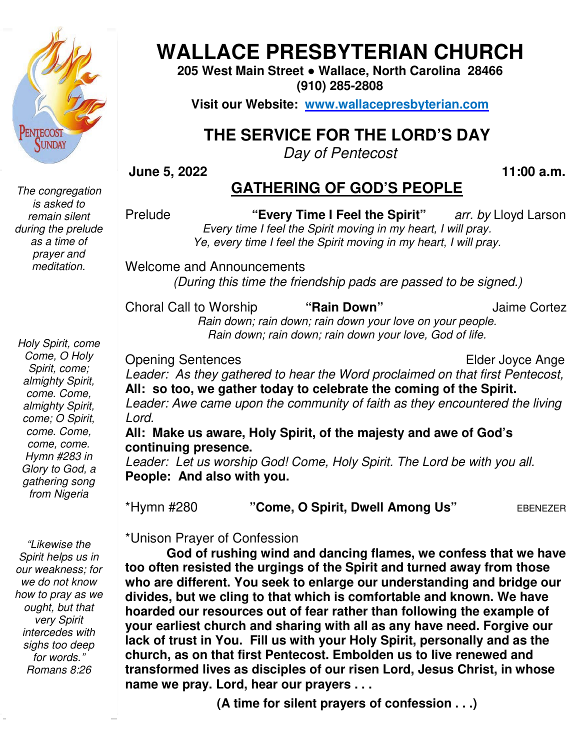

 *The congregation is asked to remain silent during the prelude as a time of prayer and meditation.* 

# **WALLACE PRESBYTERIAN CHURCH WALLACE PRESBYTERIAN CHURCH**

**205 West Main Street Street ● Wallace, North Carolina 28466 (910) 285-2808** 

**Visit our Website: www.wallacepresbyterian.com**

## **THE SERVICE FOR THE LORD'S DAY**

*Day of Pentecost* 

#### **June 5, 2022**

### **GATHERING OF GOD'S PEOPLE**

Prelude **"Every Time I Feel the Spirit** *Every time I feel the Spirit moving in my heart, I will pray.* Ye, every time I feel the Spirit moving in my heart, I will pray. arr. by Lloyd Larson

Welcome and Announcements and Announcements *(During this time the friendship pads are passed to be signed.)* 

Choral Call to Worship *Rain down; rain down; rain down your love on your people.* ain down; rain down; rain down your love on your peopí<br>Rain down; rain down; rain down your love, God of life. to **"Rain Down"** Jaime Cortez

Opening Sentences

Elder Joyce Ange 

**, 11:00 a.m.**

Leader: As they gathered to hear the Word proclaimed on that first Pentecost, **All: so too, we gather today to celebrate the coming of the Spirit. o too, we** Leader: Awe came upon the community of faith as they encountered the living *Lord.* 

#### All: Make us aware, Holy Spirit, of the majesty and awe of God's **continuing presence.**

Leader: Let us worship God! Come, Holy Spirit. The Lord be with you all. **People: And also with you. People: And also with you.<br>\*Hymn #280 "<b>Come, O Spirit, Dwell Among Us**" <sub>EBENEZER</sub>

 *for words." "Likewise the Spirit helps us in our weakness; for we do not know how to pray as we ought, but that very Spirit intercedes with sighs too deep Romans 8:26* 

\*Unison Prayer of Confession

God of rushing wind and dancing flames, we confess that we have **too often resisted the urgings of the Spirit and turned away from those**  too often resisted the urgings of the Spirit and turned away from those who are different. You seek to enlarge our understanding and bridge our divides, but we cling to that which is comfortable and known. We have hoarded **divides, but we cling to that which is comfortable and known. We have hoarded our resources out of fear rather than following the example of your earliest church and sharing with all as any have need. Forgive our**  hoarded our resources out of fear rather than following the example of<br>your earliest church and sharing with all as any have need. Forgive our<br>lack of trust in You. Fill us with your Holy Spirit, personally and as the **church, as on that first Pentecost. Embolden us to live renewed and transformed lives as disciples of our risen Lord, Jesus Christ, in whose name we pray. Lord, hear our prayers . . . risely Time I Feel the Spirit "** are the spirit are the spirit in the stand the proportion of the spirit moving in my heart, I will pray.<br>
Ye, every time I feel the Spirit moving in my heart, I will pray.<br>
Ye, every time

**(A time for silent prayers of confession . . .)**

*Holy Spirit, come Come, O Holy Spirit, come; almighty Spirit, come. Come, almighty Spirit, come; O Spirit, come. Come, come, come. Hymn #283 in Glory to God, a gathering song from Nigeria*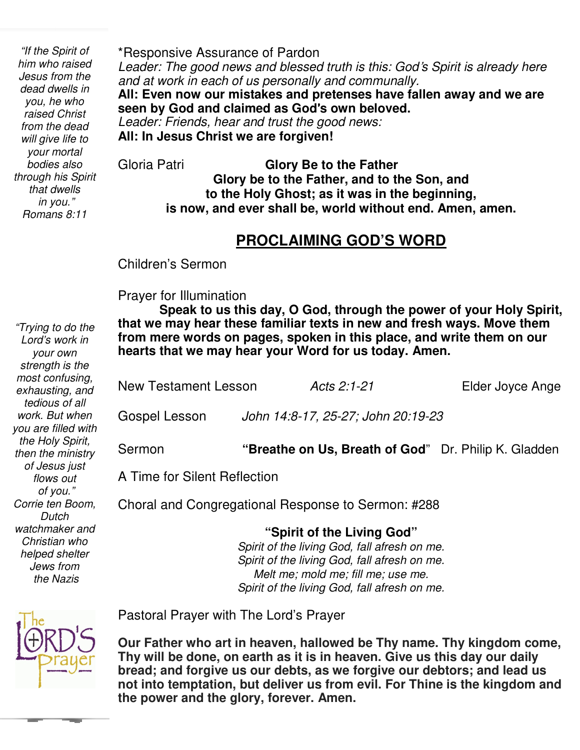*Romans 8:11 will give life to "If the Spirit of him who raised Jesus from the dead dwells in you, he who raised Christ from the dead your mortal bodies also through his Spirit that dwells in you."* 

\*Responsive Assurance of Pardon

*Leader: The good news and blessed truth is this: God*'*s Spirit is already here and at work in each of us personally and communally.* 

**All: Even now our mistakes and pretenses have fallen away and we are seen by God and claimed as God**'**s own beloved.**

*Leader: Friends, hear and trust the good news:* **All: In Jesus Christ we are forgiven!**

Gloria Patri **Glory Be to the Father Glory be to the Father, and to the Son, and to the Holy Ghost; as it was in the beginning, is now, and ever shall be, world without end. Amen, amen.** 

# **PROCLAIMING GOD'S WORD**

Children's Sermon

**Prayer for Illumination**<br> **Creak to us thi** 

 **Speak to us this day, O God, through the power of your Holy Spirit, that we may hear these familiar texts in new and fresh ways. Move them from mere words on pages, spoken in this place, and write them on our hearts that we may hear your Word for us today. Amen.** 

| <b>New Testament Lesson</b>                            |                                                      | Acts 2:1-21 | Elder Joyce Ange |  |  |
|--------------------------------------------------------|------------------------------------------------------|-------------|------------------|--|--|
| Gospel Lesson                                          | John 14:8-17, 25-27; John 20:19-23                   |             |                  |  |  |
| Sermon                                                 | "Breathe on Us, Breath of God" Dr. Philip K. Gladden |             |                  |  |  |
| A Time for Silent Reflection                           |                                                      |             |                  |  |  |
| Charol and Canaus satisfied Despanse to Caussaus, 4000 |                                                      |             |                  |  |  |

Choral and Congregational Response to Sermon: #288

**"Spirit of the Living God"**  *Spirit of the living God, fall afresh on me. Spirit of the living God, fall afresh on me. Melt me; mold me; fill me; use me. Spirit of the living God, fall afresh on me.* 

Pastoral Prayer with The Lord's Prayer

**Our Father who art in heaven, hallowed be Thy name. Thy kingdom come, Thy will be done, on earth as it is in heaven. Give us this day our daily bread; and forgive us our debts, as we forgive our debtors; and lead us not into temptation, but deliver us from evil. For Thine is the kingdom and the power and the glory, forever. Amen.**

*most confusing, exhausting, and tedious of all work. But when you are filled with the Holy Spirit, then the ministry of Jesus just flows out of you." Corrie ten Boom, Dutch watchmaker and Christian who helped shelter Jews from the Nazis* 

 *Lord's work in* 

*your own strength is the* 

*"Trying to do the*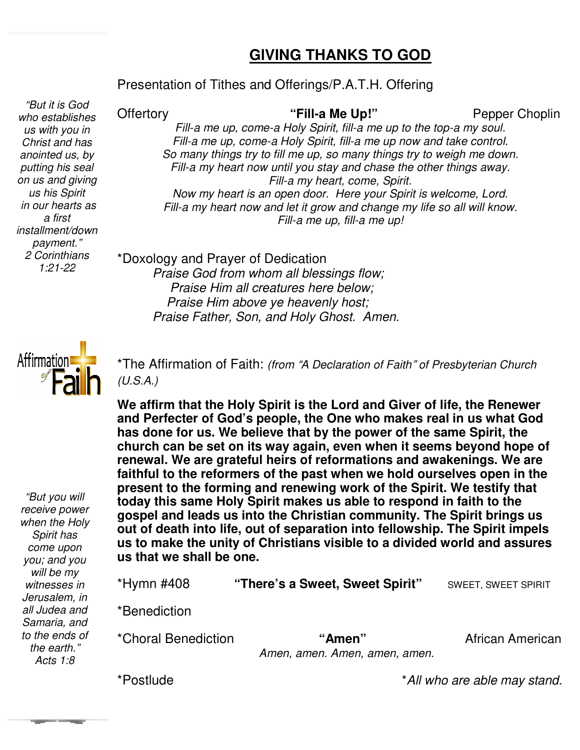### **GIVING THANKS TO GOD**

# Presentation of Tithes and Offerings/P.A.T.H. Offering<br> *d* Offertory **Consert Conservant Conservant Conservant Conservant Conservant Conservant Conservant Conservant Conser**

 *who establishes "But it is God us with you in Christ and has anointed us, by putting his seal on us and giving us his Spirit in our hearts as a first installment/down payment." 2 Corinthians 1:21-22*

#### **Offertory**

#### "Fill-a Me Up!"

 Choplin

Fill-a me up, come-a Holy Spirit, fill-a me up to the top-a my soul. Fill-a me up, come-a Holy Spirit, fill-a me up now and take control. *So many things try to fill me up, so many fill so many things try to weigh me down.*  Fill-a my heart now until you stay and chase the other things away. *Now my heart is an open door. Here your Spirit is welcome, Lord.* Fill-a my heart now and let it grow and change my life so all will know. *Fill-a my heart, come, Spirit.* 

*Fill-a me up, fill-a me up!* 

\*Doxology and Prayer of Dedication  *Praise God from whom all blessings flow; Praise God Praise Him all creatures here below; Praise Him above ye heavenly host; Praise Father, Son, and Holy Ghost. Amen.* raise Him all creatures here below;<br>aise Him above ye heavenly host;<br>e Father, Son, and Holy Ghost. Al



*"But you will receive power when the Holy Spirit has come upon you; and you will be my witnesses in Jerusalem, in all Judea and Samaria, and to the ends of the earth." Acts 1:8*

\*The Affirmation of Faith: *(from* "*A Declaration of Faith*" *of Presbyterian Church (U.S.A.)* 

**We affirm that the Holy Spirit is the Lord and Giver of life, the Renewer**  We affirm that the Holy Spirit is the Lord and Giver of life, the Renewer<br>and Perfecter of God's people, the One who makes real in us what God has done for us. We believe that by the power of the same Spirit, the **church can be set on its way again, even when it seems beyond hope of renewal. We are grateful heirs of reformations and awakenings. We are**  renewal. We are grateful heirs of reformations and awakenings. We are<br>faithful to the reformers of the past when we hold ourselves open in the **present to the forming and renewing work of the Spirit. We testify that today this same Holy Spirit makes us able to respond in faith to the gospel and leads us into the Christian community. The Spirit brings us**  present to the forming and renewing work of the Spirit. We testify that<br>today this same Holy Spirit makes us able to respond in faith to the<br>gospel and leads us into the Christian community. The Spirit brings us<br>out of dea **us to make the unity of Christians visible to a divided world and assures us that we shall be one.** church can be set on its way again, even when it seems beyon renewal. We are grateful heirs of reformations and awakenin faithful to the reformers of the past when we hold ourselves present to the forming and renewing work

| *Hymn #408          | "There's a Sweet, Sweet Spirit"         | <b>SWEET, SWEET SPIRIT</b> |
|---------------------|-----------------------------------------|----------------------------|
| *Benediction        |                                         |                            |
| *Choral Benediction | "Amen"<br>Amen, amen. Amen, amen, amen. | African American           |

\*Postlude

\**All who are able may stand. stand.*